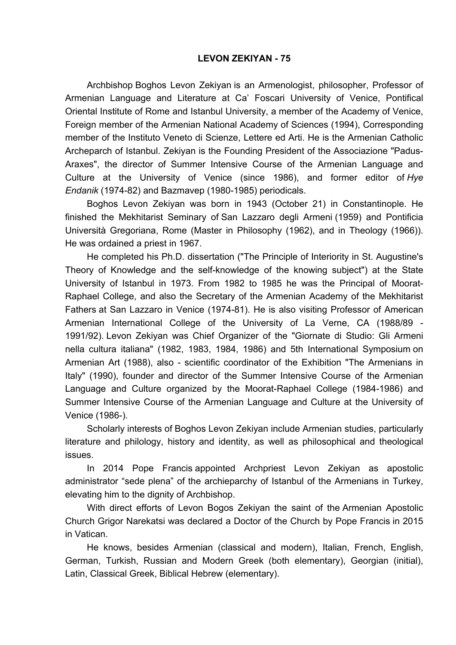## **LEVON ZEKIYAN - 75**

Archbishop Boghos Levon Zekiyan is an Armenologist, philosopher, Professor of Armenian Language and Literature at Ca' Foscari University of Venice, Pontifical Oriental Institute of Rome and Istanbul University, a member of the Academy of Venice, Foreign member of the Armenian National Academy of Sciences (1994), Corresponding member of the Instituto Veneto di Scienze, Lettere ed Arti. He is the Armenian Catholic Archeparch of Istanbul. Zekiyan is the Founding President of the Associazione "Padus-Araxes", the director of Summer Intensive Course of the Armenian Language and Culture at the University of Venice (since 1986), and former editor of *Hye Endanik* (1974-82) and Bazmavep (1980-1985) periodicals.

Boghos Levon Zekiyan was born in 1943 (October 21) in Constantinople. He finished the Mekhitarist Seminary of San Lazzaro degli Armeni (1959) and Pontificia Università Gregoriana, Rome (Master in Philosophy (1962), and in Theology (1966)). He was ordained a priest in 1967.

He completed his Ph.D. dissertation ("The Principle of Interiority in St. Augustine's Theory of Knowledge and the self-knowledge of the knowing subject") at the State University of Istanbul in 1973. From 1982 to 1985 he was the Principal of Moorat-Raphael College, and also the Secretary of the Armenian Academy of the Mekhitarist Fathers at San Lazzaro in Venice (1974-81). He is also visiting Professor of American Armenian International College of the University of La Verne, CA (1988/89 - 1991/92). Levon Zekiyan was Chief Organizer of the "Giornate di Studio: Gli Armeni nella cultura italiana" (1982, 1983, 1984, 1986) and 5th International Symposium on Armenian Art (1988), also - scientific coordinator of the Exhibition "The Armenians in Italy" (1990), founder and director of the Summer Intensive Course of the Armenian Language and Culture organized by the Moorat-Raphael College (1984-1986) and Summer Intensive Course of the Armenian Language and Culture at the University of Venice (1986-).

Scholarly interests of Boghos Levon Zekiyan include Armenian studies, particularly literature and philology, history and identity, as well as philosophical and theological issues.

In 2014 Pope Francis appointed Archpriest Levon Zekiyan as apostolic administrator "sede plena" of the archieparchy of Istanbul of the Armenians in Turkey, elevating him to the dignity of Archbishop.

With direct efforts of Levon Bogos Zekiyan the saint of the Armenian Apostolic Church Grigor Narekatsi was declared a Doctor of the Church by Pope Francis in 2015 in Vatican.

He knows, besides Armenian (classical and modern), Italian, French, English, German, Turkish, Russian and Modern Greek (both elementary), Georgian (initial), Latin, Classical Greek, Biblical Hebrew (elementary).